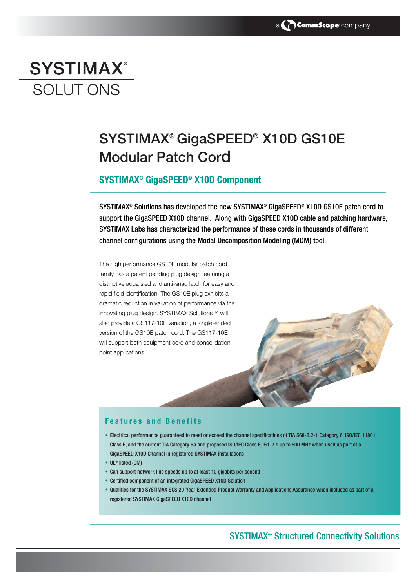# **SYSTIMAX® SOLUTIONS**

## SYSTIMAX® GigaSPEED® X10D GS10E Modular Patch Cord

### **SYSTIMAX® GigaSPEED® X10D Component**

SYSTIMAX® Solutions has developed the new SYSTIMAX® GigaSPEED® X10D GS10E patch cord to support the GigaSPEED X10D channel. Along with GigaSPEED X10D cable and patching hardware, SYSTIMAX Labs has characterized the performance of these cords in thousands of different channel configurations using the Modal Decomposition Modeling (MDM) tool.

The high performance GS10E modular patch cord family has a patent pending plug design featuring a distinctive aqua sled and anti-snag latch for easy and rapid field identification. The GS10E plug exhibits a dramatic reduction in variation of performance via the innovating plug design. SYSTIMAX Solutions™ will also provide a GS117-10E variation, a single-ended version of the GS10E patch cord. The GS117-10E will support both equipment cord and consolidation point applications.

#### **Features and Benefits**

- Electrical performance guaranteed to meet or exceed the channel specifications of TIA 568-B.2-1 Category 6, ISO/IEC 11801 Class E, and the current TIA Category 6A and proposed ISO/IEC Class E<sub>a</sub> Ed. 2.1 up to 500 MHz when used as part of a GigaSPEED X10D Channel in registered SYSTIMAX installations
- UL® listed (CM)
- Can support network line speeds up to at least 10 gigabits per second
- Certified component of an integrated GigaSPEED X10D Solution
- Qualifies for the SYSTIMAX SCS 20-Year Extended Product Warranty and Applications Assurance when included as part of a registered SYSTIMAX GigaSPEED X10D channel

## SYSTIMAX® Structured Connectivity Solutions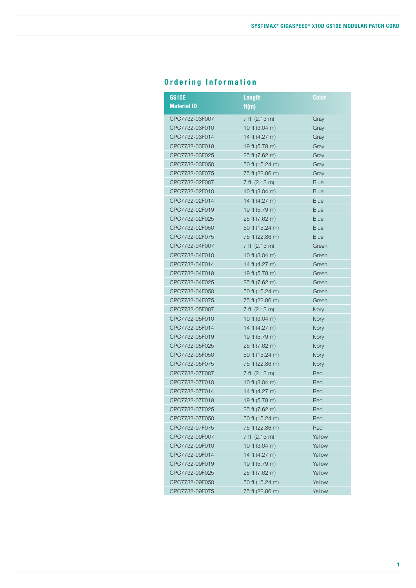## **Ordering Information**

| <b>GS10E</b><br><b>Material ID</b> | <b>Length</b>   | <b>Color</b> |
|------------------------------------|-----------------|--------------|
|                                    | ft(m)           |              |
| CPC7732-03F007                     | 7 ft (2.13 m)   | Gray         |
| CPC7732-03F010                     | 10 ft (3.04 m)  | Gray         |
| CPC7732-03F014                     | 14 ft (4.27 m)  | Gray         |
| CPC7732-03F019                     | 19 ft (5.79 m)  | Gray         |
| CPC7732-03F025                     | 25 ft (7.62 m)  | Gray         |
| CPC7732-03F050                     | 50 ft (15.24 m) | Gray         |
| CPC7732-03F075                     | 75 ft (22.86 m) | Gray         |
| CPC7732-02F007                     | 7 ft (2.13 m)   | <b>Blue</b>  |
| CPC7732-02F010                     | 10 ft (3.04 m)  | <b>Blue</b>  |
| CPC7732-02F014                     | 14 ft (4.27 m)  | <b>Blue</b>  |
| CPC7732-02F019                     | 19 ft (5.79 m)  | <b>Blue</b>  |
| CPC7732-02F025                     | 25 ft (7.62 m)  | <b>Blue</b>  |
| CPC7732-02F050                     | 50 ft (15.24 m) | <b>Blue</b>  |
| CPC7732-02F075                     | 75 ft (22.86 m) | <b>Blue</b>  |
| CPC7732-04F007                     | 7 ft (2.13 m)   | Green        |
| CPC7732-04F010                     | 10 ft (3.04 m)  | Green        |
| CPC7732-04F014                     | 14 ft (4.27 m)  | Green        |
| CPC7732-04F019                     | 19 ft (5.79 m)  | Green        |
| CPC7732-04F025                     | 25 ft (7.62 m)  | Green        |
| CPC7732-04F050                     | 50 ft (15.24 m) | Green        |
| CPC7732-04F075                     | 75 ft (22.86 m) | Green        |
| CPC7732-05F007                     | 7 ft (2.13 m)   | <b>Ivory</b> |
| CPC7732-05F010                     | 10 ft (3.04 m)  | <b>Ivory</b> |
| CPC7732-05F014                     | 14 ft (4.27 m)  | <b>Ivory</b> |
| CPC7732-05F019                     | 19 ft (5.79 m)  | <b>Ivory</b> |
| CPC7732-05F025                     | 25 ft (7.62 m)  | <b>Ivory</b> |
| CPC7732-05F050                     | 50 ft (15.24 m) | <b>Ivory</b> |
| CPC7732-05F075                     | 75 ft (22.86 m) | Ivory        |
| CPC7732-07F007                     | 7 ft (2.13 m)   | Red          |
| CPC7732-07F010                     | 10 ft (3.04 m)  | Red          |
| CPC7732-07F014                     | 14 ft (4.27 m)  | Red          |
| CPC7732-07F019                     | 19 ft (5.79 m)  | Red          |
| CPC7732-07F025                     | 25 ft (7.62 m)  | Red          |
| CPC7732-07F050                     | 50 ft (15.24 m) | Red          |
| CPC7732-07F075                     | 75 ft (22.86 m) | Red          |
| CPC7732-09F007                     | 7 ft (2.13 m)   | Yellow       |
| CPC7732-09F010                     | 10 ft (3.04 m)  | Yellow       |
| CPC7732-09F014                     | 14 ft (4.27 m)  | Yellow       |
| CPC7732-09F019                     | 19 ft (5.79 m)  | Yellow       |
| CPC7732-09F025                     | 25 ft (7.62 m)  | Yellow       |
| CPC7732-09F050                     | 50 ft (15.24 m) | Yellow       |
| CPC7732-09F075                     | 75 ft (22.86 m) | Yellow       |